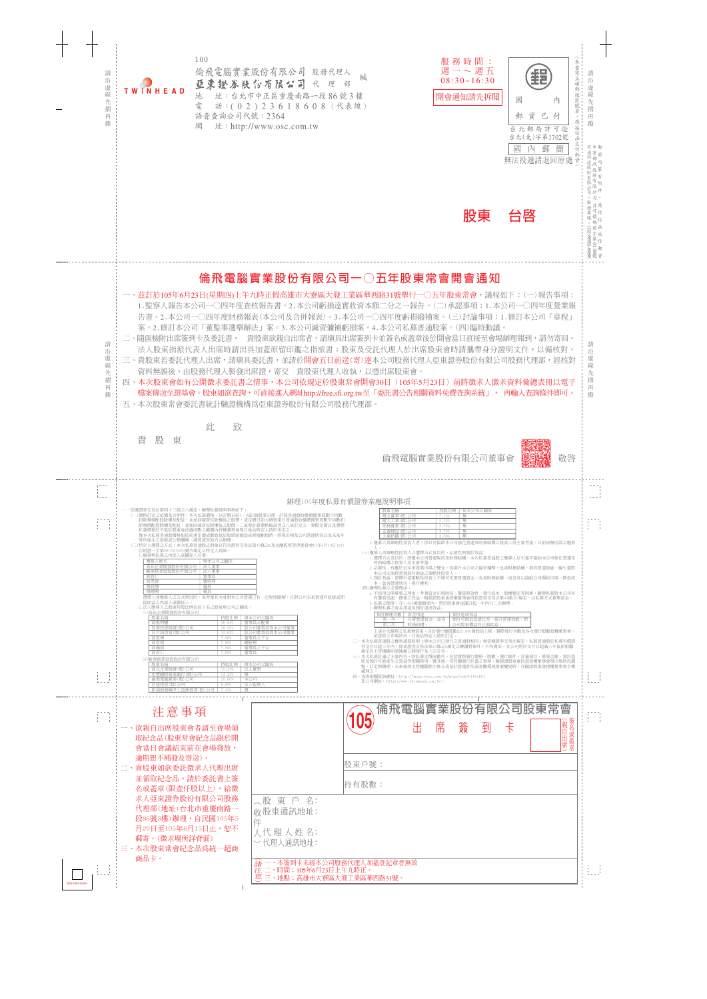

|              | 逾期恕不補發及寄送)。<br>二、貴股東如欲委託徵求人代理出席<br>並領取紀念品,請於委託書上簽<br>名或蓋章(限壹仟股以上),給徵                                              | 股東戶號:<br> 持有股數:                                                                                           |  |
|--------------|-------------------------------------------------------------------------------------------------------------------|-----------------------------------------------------------------------------------------------------------|--|
|              | 求人亞東證券股份有限公司股務<br>代理部(地址:台北市重慶南路一<br>段86號3樓)辦理,自民國105年5<br>月20日至105年6月15日止,恕不<br>郵寄。(徵求場所詳背面)<br>三、本次股東常會紀念品爲統一超商 | 〈股 東 戶 名:<br>收股東通訊地址:<br>件<br>人代理人姓名:<br>一代理人通訊地址:                                                        |  |
| SB1898030903 | 商品卡。                                                                                                              | 一、本簽到卡未經本公司股務代理人加蓋登記章者無效<br>  請 一、本簽到卡未經本公司股務代埋人加<br>  注 二、時間:105年6月23日上午九時正。<br>意三、地點:高雄市大寮區大發工業區華西路31號。 |  |